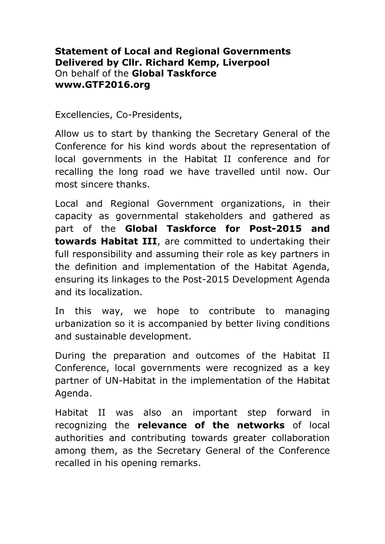## **Statement of Local and Regional Governments Delivered by Cllr. Richard Kemp, Liverpool** On behalf of the **Global Taskforce www.GTF2016.org**

Excellencies, Co-Presidents,

Allow us to start by thanking the Secretary General of the Conference for his kind words about the representation of local governments in the Habitat II conference and for recalling the long road we have travelled until now. Our most sincere thanks.

Local and Regional Government organizations, in their capacity as governmental stakeholders and gathered as part of the **Global Taskforce for Post-2015 and towards Habitat III**, are committed to undertaking their full responsibility and assuming their role as key partners in the definition and implementation of the Habitat Agenda, ensuring its linkages to the Post-2015 Development Agenda and its localization.

In this way, we hope to contribute to managing urbanization so it is accompanied by better living conditions and sustainable development.

During the preparation and outcomes of the Habitat II Conference, local governments were recognized as a key partner of UN-Habitat in the implementation of the Habitat Agenda.

Habitat II was also an important step forward in recognizing the **relevance of the networks** of local authorities and contributing towards greater collaboration among them, as the Secretary General of the Conference recalled in his opening remarks.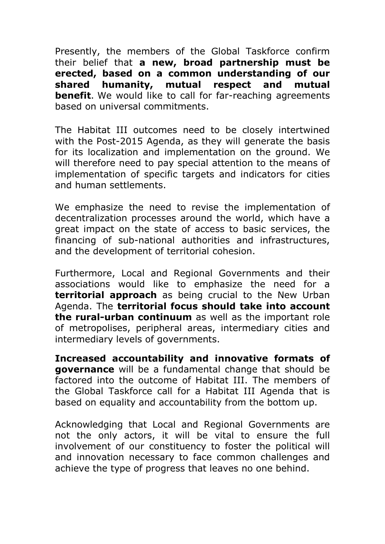Presently, the members of the Global Taskforce confirm their belief that **a new, broad partnership must be erected, based on a common understanding of our shared humanity, mutual respect and mutual benefit**. We would like to call for far-reaching agreements based on universal commitments.

The Habitat III outcomes need to be closely intertwined with the Post-2015 Agenda, as they will generate the basis for its localization and implementation on the ground. We will therefore need to pay special attention to the means of implementation of specific targets and indicators for cities and human settlements.

We emphasize the need to revise the implementation of decentralization processes around the world, which have a great impact on the state of access to basic services, the financing of sub-national authorities and infrastructures, and the development of territorial cohesion.

Furthermore, Local and Regional Governments and their associations would like to emphasize the need for a **territorial approach** as being crucial to the New Urban Agenda. The **territorial focus should take into account the rural-urban continuum** as well as the important role of metropolises, peripheral areas, intermediary cities and intermediary levels of governments.

**Increased accountability and innovative formats of governance** will be a fundamental change that should be factored into the outcome of Habitat III. The members of the Global Taskforce call for a Habitat III Agenda that is based on equality and accountability from the bottom up.

Acknowledging that Local and Regional Governments are not the only actors, it will be vital to ensure the full involvement of our constituency to foster the political will and innovation necessary to face common challenges and achieve the type of progress that leaves no one behind.